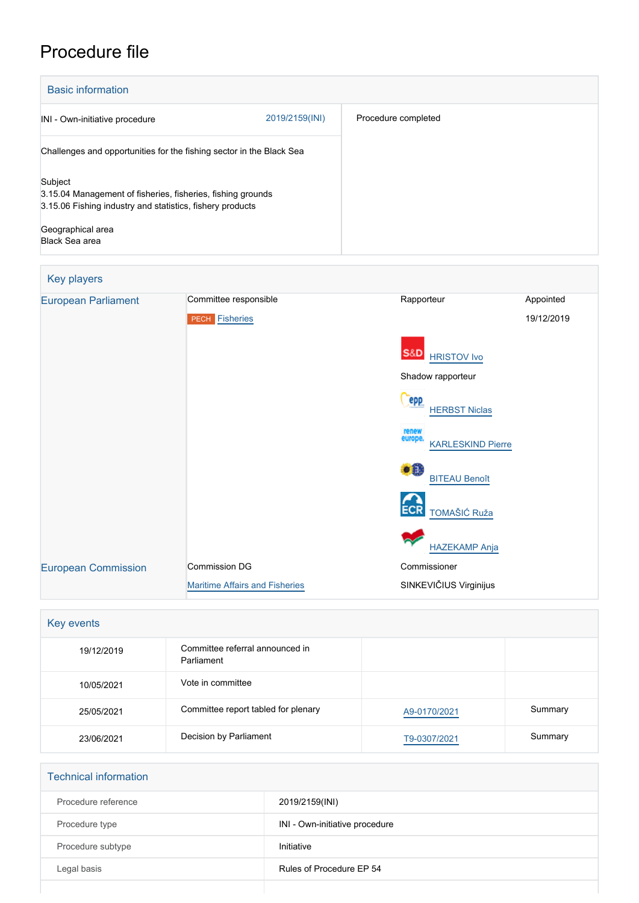# Procedure file

| <b>Basic information</b>                                                                                                            |                |                     |
|-------------------------------------------------------------------------------------------------------------------------------------|----------------|---------------------|
| INI - Own-initiative procedure                                                                                                      | 2019/2159(INI) | Procedure completed |
| Challenges and opportunities for the fishing sector in the Black Sea                                                                |                |                     |
| Subject<br>3.15.04 Management of fisheries, fisheries, fishing grounds<br>3.15.06 Fishing industry and statistics, fishery products |                |                     |
| Geographical area<br>Black Sea area                                                                                                 |                |                     |

| Key players                |                                       |                                              |            |
|----------------------------|---------------------------------------|----------------------------------------------|------------|
| <b>European Parliament</b> | Committee responsible                 | Rapporteur                                   | Appointed  |
|                            | <b>PECH Fisheries</b>                 |                                              | 19/12/2019 |
|                            |                                       | <b>S&amp;D</b><br><b>HRISTOV Ivo</b>         |            |
|                            |                                       | Shadow rapporteur                            |            |
|                            |                                       | epp<br><b>HERBST Niclas</b>                  |            |
|                            |                                       | renew<br>europe.<br><b>KARLESKIND Pierre</b> |            |
|                            |                                       | ٠Ê<br><b>BITEAU Benoît</b>                   |            |
|                            |                                       | <b>ECR</b><br>TOMAŠIĆ Ruža                   |            |
|                            |                                       | <b>HAZEKAMP Anja</b>                         |            |
| <b>European Commission</b> | Commission DG                         | Commissioner                                 |            |
|                            | <b>Maritime Affairs and Fisheries</b> | SINKEVIČIUS Virginijus                       |            |

| Key events |                                               |              |         |
|------------|-----------------------------------------------|--------------|---------|
| 19/12/2019 | Committee referral announced in<br>Parliament |              |         |
| 10/05/2021 | Vote in committee                             |              |         |
| 25/05/2021 | Committee report tabled for plenary           | A9-0170/2021 | Summary |
| 23/06/2021 | Decision by Parliament                        | T9-0307/2021 | Summary |

| <b>Technical information</b> |                                |
|------------------------------|--------------------------------|
| Procedure reference          | 2019/2159(INI)                 |
| Procedure type               | INI - Own-initiative procedure |
| Procedure subtype            | Initiative                     |
| Legal basis                  | Rules of Procedure EP 54       |
|                              |                                |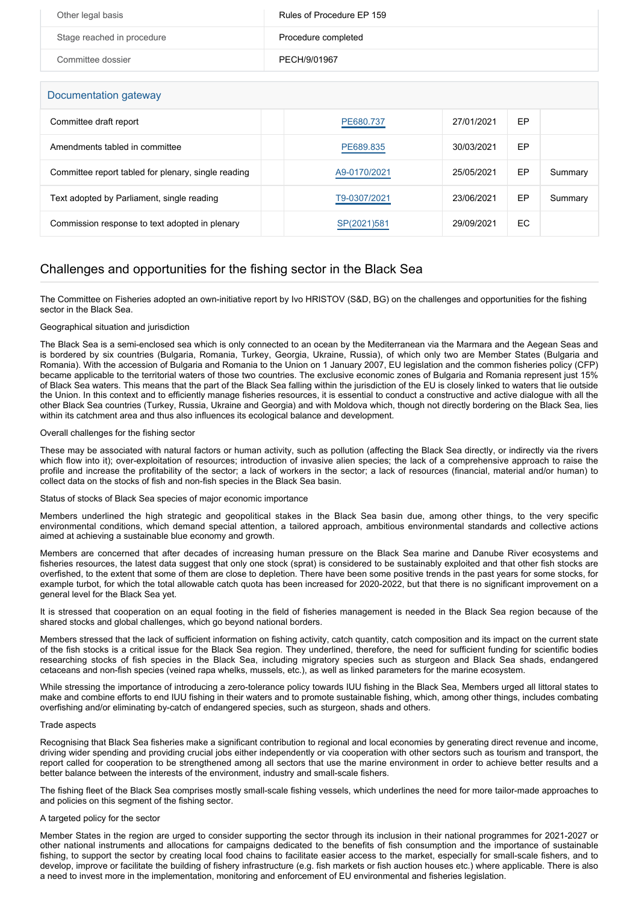| Other legal basis          | Rules of Procedure EP 159 |
|----------------------------|---------------------------|
| Stage reached in procedure | Procedure completed       |
| Committee dossier          | PECH/9/01967              |

Documentation gateway

| DUCUMENTATION GALEWAY                               |              |            |    |         |
|-----------------------------------------------------|--------------|------------|----|---------|
| Committee draft report                              | PE680.737    | 27/01/2021 | EP |         |
| Amendments tabled in committee                      | PE689.835    | 30/03/2021 | EP |         |
| Committee report tabled for plenary, single reading | A9-0170/2021 | 25/05/2021 | EP | Summary |
| Text adopted by Parliament, single reading          | T9-0307/2021 | 23/06/2021 | EP | Summary |
| Commission response to text adopted in plenary      | SP(2021)581  | 29/09/2021 | ЕC |         |

# Challenges and opportunities for the fishing sector in the Black Sea

The Committee on Fisheries adopted an own-initiative report by Ivo HRISTOV (S&D, BG) on the challenges and opportunities for the fishing sector in the Black Sea.

# Geographical situation and jurisdiction

The Black Sea is a semi-enclosed sea which is only connected to an ocean by the Mediterranean via the Marmara and the Aegean Seas and is bordered by six countries (Bulgaria, Romania, Turkey, Georgia, Ukraine, Russia), of which only two are Member States (Bulgaria and Romania). With the accession of Bulgaria and Romania to the Union on 1 January 2007, EU legislation and the common fisheries policy (CFP) became applicable to the territorial waters of those two countries. The exclusive economic zones of Bulgaria and Romania represent just 15% of Black Sea waters. This means that the part of the Black Sea falling within the jurisdiction of the EU is closely linked to waters that lie outside the Union. In this context and to efficiently manage fisheries resources, it is essential to conduct a constructive and active dialogue with all the other Black Sea countries (Turkey, Russia, Ukraine and Georgia) and with Moldova which, though not directly bordering on the Black Sea, lies within its catchment area and thus also influences its ecological balance and development.

# Overall challenges for the fishing sector

These may be associated with natural factors or human activity, such as pollution (affecting the Black Sea directly, or indirectly via the rivers which flow into it); over-exploitation of resources; introduction of invasive alien species; the lack of a comprehensive approach to raise the profile and increase the profitability of the sector; a lack of workers in the sector; a lack of resources (financial, material and/or human) to collect data on the stocks of fish and non-fish species in the Black Sea basin.

# Status of stocks of Black Sea species of major economic importance

Members underlined the high strategic and geopolitical stakes in the Black Sea basin due, among other things, to the very specific environmental conditions, which demand special attention, a tailored approach, ambitious environmental standards and collective actions aimed at achieving a sustainable blue economy and growth.

Members are concerned that after decades of increasing human pressure on the Black Sea marine and Danube River ecosystems and fisheries resources, the latest data suggest that only one stock (sprat) is considered to be sustainably exploited and that other fish stocks are overfished, to the extent that some of them are close to depletion. There have been some positive trends in the past years for some stocks, for example turbot, for which the total allowable catch quota has been increased for 2020-2022, but that there is no significant improvement on a general level for the Black Sea yet.

It is stressed that cooperation on an equal footing in the field of fisheries management is needed in the Black Sea region because of the shared stocks and global challenges, which go beyond national borders.

Members stressed that the lack of sufficient information on fishing activity, catch quantity, catch composition and its impact on the current state of the fish stocks is a critical issue for the Black Sea region. They underlined, therefore, the need for sufficient funding for scientific bodies researching stocks of fish species in the Black Sea, including migratory species such as sturgeon and Black Sea shads, endangered cetaceans and non-fish species (veined rapa whelks, mussels, etc.), as well as linked parameters for the marine ecosystem.

While stressing the importance of introducing a zero-tolerance policy towards IUU fishing in the Black Sea, Members urged all littoral states to make and combine efforts to end IUU fishing in their waters and to promote sustainable fishing, which, among other things, includes combating overfishing and/or eliminating by-catch of endangered species, such as sturgeon, shads and others.

# Trade aspects

Recognising that Black Sea fisheries make a significant contribution to regional and local economies by generating direct revenue and income, driving wider spending and providing crucial jobs either independently or via cooperation with other sectors such as tourism and transport, the report called for cooperation to be strengthened among all sectors that use the marine environment in order to achieve better results and a better balance between the interests of the environment, industry and small-scale fishers.

The fishing fleet of the Black Sea comprises mostly small-scale fishing vessels, which underlines the need for more tailor-made approaches to and policies on this segment of the fishing sector.

# A targeted policy for the sector

Member States in the region are urged to consider supporting the sector through its inclusion in their national programmes for 2021-2027 or other national instruments and allocations for campaigns dedicated to the benefits of fish consumption and the importance of sustainable fishing, to support the sector by creating local food chains to facilitate easier access to the market, especially for small-scale fishers, and to develop, improve or facilitate the building of fishery infrastructure (e.g. fish markets or fish auction houses etc.) where applicable. There is also a need to invest more in the implementation, monitoring and enforcement of EU environmental and fisheries legislation.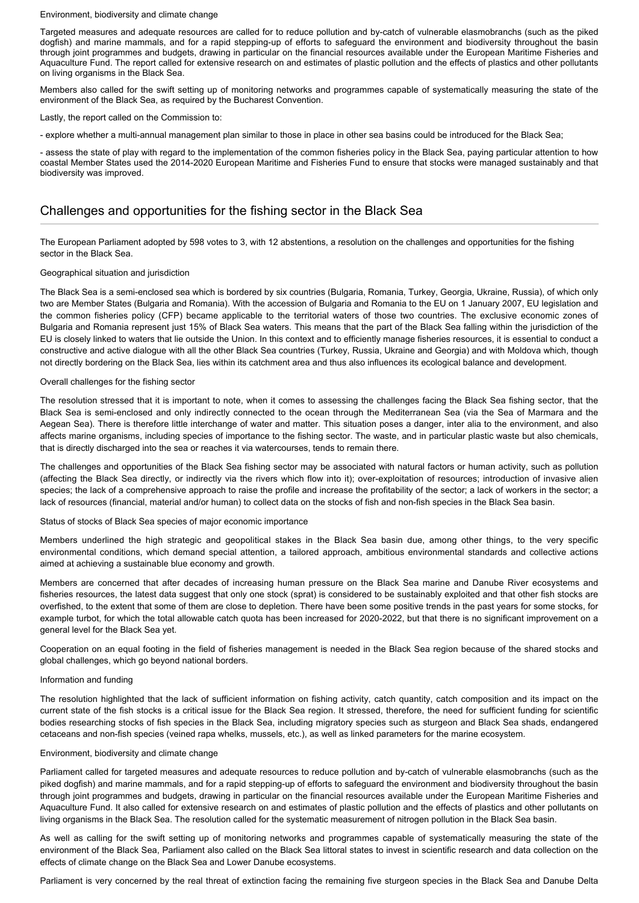#### Environment, biodiversity and climate change

Targeted measures and adequate resources are called for to reduce pollution and by-catch of vulnerable elasmobranchs (such as the piked dogfish) and marine mammals, and for a rapid stepping-up of efforts to safeguard the environment and biodiversity throughout the basin through joint programmes and budgets, drawing in particular on the financial resources available under the European Maritime Fisheries and Aquaculture Fund. The report called for extensive research on and estimates of plastic pollution and the effects of plastics and other pollutants on living organisms in the Black Sea.

Members also called for the swift setting up of monitoring networks and programmes capable of systematically measuring the state of the environment of the Black Sea, as required by the Bucharest Convention.

Lastly, the report called on the Commission to:

- explore whether a multi-annual management plan similar to those in place in other sea basins could be introduced for the Black Sea;

- assess the state of play with regard to the implementation of the common fisheries policy in the Black Sea, paying particular attention to how coastal Member States used the 2014-2020 European Maritime and Fisheries Fund to ensure that stocks were managed sustainably and that biodiversity was improved.

# Challenges and opportunities for the fishing sector in the Black Sea

The European Parliament adopted by 598 votes to 3, with 12 abstentions, a resolution on the challenges and opportunities for the fishing sector in the Black Sea.

# Geographical situation and jurisdiction

The Black Sea is a semi-enclosed sea which is bordered by six countries (Bulgaria, Romania, Turkey, Georgia, Ukraine, Russia), of which only two are Member States (Bulgaria and Romania). With the accession of Bulgaria and Romania to the EU on 1 January 2007, EU legislation and the common fisheries policy (CFP) became applicable to the territorial waters of those two countries. The exclusive economic zones of Bulgaria and Romania represent just 15% of Black Sea waters. This means that the part of the Black Sea falling within the jurisdiction of the EU is closely linked to waters that lie outside the Union. In this context and to efficiently manage fisheries resources, it is essential to conduct a constructive and active dialogue with all the other Black Sea countries (Turkey, Russia, Ukraine and Georgia) and with Moldova which, though not directly bordering on the Black Sea, lies within its catchment area and thus also influences its ecological balance and development.

# Overall challenges for the fishing sector

The resolution stressed that it is important to note, when it comes to assessing the challenges facing the Black Sea fishing sector, that the Black Sea is semi-enclosed and only indirectly connected to the ocean through the Mediterranean Sea (via the Sea of Marmara and the Aegean Sea). There is therefore little interchange of water and matter. This situation poses a danger, inter alia to the environment, and also affects marine organisms, including species of importance to the fishing sector. The waste, and in particular plastic waste but also chemicals, that is directly discharged into the sea or reaches it via watercourses, tends to remain there.

The challenges and opportunities of the Black Sea fishing sector may be associated with natural factors or human activity, such as pollution (affecting the Black Sea directly, or indirectly via the rivers which flow into it); over-exploitation of resources; introduction of invasive alien species; the lack of a comprehensive approach to raise the profile and increase the profitability of the sector; a lack of workers in the sector; a lack of resources (financial, material and/or human) to collect data on the stocks of fish and non-fish species in the Black Sea basin.

# Status of stocks of Black Sea species of major economic importance

Members underlined the high strategic and geopolitical stakes in the Black Sea basin due, among other things, to the very specific environmental conditions, which demand special attention, a tailored approach, ambitious environmental standards and collective actions aimed at achieving a sustainable blue economy and growth.

Members are concerned that after decades of increasing human pressure on the Black Sea marine and Danube River ecosystems and fisheries resources, the latest data suggest that only one stock (sprat) is considered to be sustainably exploited and that other fish stocks are overfished, to the extent that some of them are close to depletion. There have been some positive trends in the past years for some stocks, for example turbot, for which the total allowable catch quota has been increased for 2020-2022, but that there is no significant improvement on a general level for the Black Sea yet.

Cooperation on an equal footing in the field of fisheries management is needed in the Black Sea region because of the shared stocks and global challenges, which go beyond national borders.

#### Information and funding

The resolution highlighted that the lack of sufficient information on fishing activity, catch quantity, catch composition and its impact on the current state of the fish stocks is a critical issue for the Black Sea region. It stressed, therefore, the need for sufficient funding for scientific bodies researching stocks of fish species in the Black Sea, including migratory species such as sturgeon and Black Sea shads, endangered cetaceans and non-fish species (veined rapa whelks, mussels, etc.), as well as linked parameters for the marine ecosystem.

# Environment, biodiversity and climate change

Parliament called for targeted measures and adequate resources to reduce pollution and by-catch of vulnerable elasmobranchs (such as the piked dogfish) and marine mammals, and for a rapid stepping-up of efforts to safeguard the environment and biodiversity throughout the basin through joint programmes and budgets, drawing in particular on the financial resources available under the European Maritime Fisheries and Aquaculture Fund. It also called for extensive research on and estimates of plastic pollution and the effects of plastics and other pollutants on living organisms in the Black Sea. The resolution called for the systematic measurement of nitrogen pollution in the Black Sea basin.

As well as calling for the swift setting up of monitoring networks and programmes capable of systematically measuring the state of the environment of the Black Sea, Parliament also called on the Black Sea littoral states to invest in scientific research and data collection on the effects of climate change on the Black Sea and Lower Danube ecosystems.

Parliament is very concerned by the real threat of extinction facing the remaining five sturgeon species in the Black Sea and Danube Delta